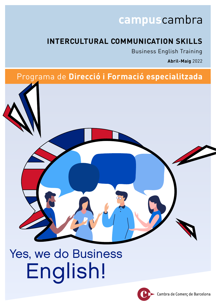# **campus**cambra

# **INTERCULTURAL COMMUNICATION SKILLS**

Business English Training

**Abril-Maig** 2022

# Programa de **Direcció i Formació especialitzada**



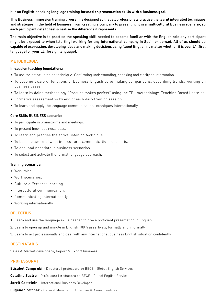### It is an English-speaking language training focused on presentation skills with a Business goal.

This Business immersion training program is designed so that all professionals practise the learnt integrated techniques and strategies in the field of business, from creating a company to presenting it in a multicultural Business scenario, so each participant gets to feel & realise the difference it represents.

The main objective is to practise the speaking skill needed to become familiar with the English role any participant might be exposed to when (starting) working for any International company in Spain or abroad. All of us should be capable of expressing, developing ideas and making decisions using fluent English no matter whether it is your L1 (first language) or your L2 (foreign language).

### **METODOLOGIA**

### In-session teaching foundations:

- To use the active listening technique: Confirming understanding, checking and clarifying information.
- To become aware of functions of Business English core: making comparisons, describing trends, working on business cases.
- To learn by doing methodology "Practice makes perfect" using the TBL methodology: Teaching Based Learning.
- Formative assessment vs by end of each daily training session.
- To learn and apply the language communication techniques internationally.

### Core Skills BUSINESS scenario:

- To participate in brainstorms and meetings.
- To present (new) business ideas.
- To learn and practise the active listening technique.
- To become aware of what intercultural communication concept is.
- To deal and negotiate in business scenarios.
- To select and activate the formal language approach.

### Training scenarios:

- Work roles.
- Work scenarios.
- Culture differences learning.
- Intercultural communication.
- Communicating internationally.
- Working internationally.

### **OBJECTIUS**

- 1. Learn and use the language skills needed to give a proficient presentation in English.
- 2. Learn to open up and mingle in English 100% assertively, formally and informally.
- 3. Learn to act professionally and deal with any international business English situation confidently.

### **DESTINATARIS**

Sales & Market developers, Import & Export business.

### **PROFESSORAT**

**Elisabet Camprubí** - Directora i professora de BECE - Global English Services

**Catalina Sastre** - Professora i traductora de BECE - Global English Services

**Jorrit Castelein** - International Business Developer

**Eugene Scotcher** - General Manager in American & Asian countries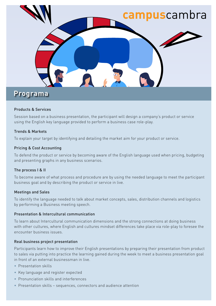

## **Programa**

### Products & Services

Session based on a business presentation, the participant will design a company's product or service using the English key language provided to perform a business case role-play.

### Trends & Markets

To explain your target by identifying and detailing the market aim for your product or service.

### Pricing & Cost Accounting

To defend the product or service by becoming aware of the English language used when pricing, budgeting and presenting graphs in any business scenarios.

### The process I & II

To become aware of what process and procedure are by using the needed language to meet the participant business goal and by describing the product or service in live.

### Meetings and Sales

To identify the language needed to talk about market concepts, sales, distribution channels and logistics by performing a Business meeting speech.

### Presentation & Intercultural communication

To learn about Intercultural communication dimensions and the strong connections at doing business with other cultures, where English and cultures mindset differences take place via role-play to foresee the encounter business issues.

### Real business project presentation

Participants learn how to improve their English presentations by preparing their presentation from product to sales via putting into practice the learning gained during the week to meet a business presentation goal in front of an external businessman in live.

- Presentation skills
- Key language and register expected
- Pronunciation skills and interferences
- Presentation skills sequences, connectors and audience attention